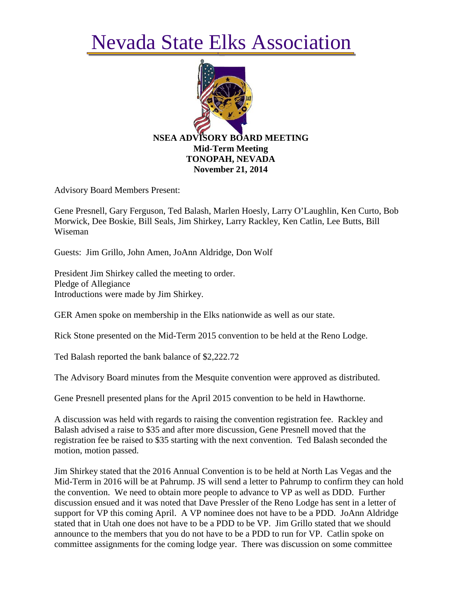## Nevada State Elks Association



Advisory Board Members Present:

Gene Presnell, Gary Ferguson, Ted Balash, Marlen Hoesly, Larry O'Laughlin, Ken Curto, Bob Morwick, Dee Boskie, Bill Seals, Jim Shirkey, Larry Rackley, Ken Catlin, Lee Butts, Bill Wiseman

Guests: Jim Grillo, John Amen, JoAnn Aldridge, Don Wolf

President Jim Shirkey called the meeting to order. Pledge of Allegiance Introductions were made by Jim Shirkey.

GER Amen spoke on membership in the Elks nationwide as well as our state.

Rick Stone presented on the Mid-Term 2015 convention to be held at the Reno Lodge.

Ted Balash reported the bank balance of \$2,222.72

The Advisory Board minutes from the Mesquite convention were approved as distributed.

Gene Presnell presented plans for the April 2015 convention to be held in Hawthorne.

A discussion was held with regards to raising the convention registration fee. Rackley and Balash advised a raise to \$35 and after more discussion, Gene Presnell moved that the registration fee be raised to \$35 starting with the next convention. Ted Balash seconded the motion, motion passed.

Jim Shirkey stated that the 2016 Annual Convention is to be held at North Las Vegas and the Mid-Term in 2016 will be at Pahrump. JS will send a letter to Pahrump to confirm they can hold the convention. We need to obtain more people to advance to VP as well as DDD. Further discussion ensued and it was noted that Dave Pressler of the Reno Lodge has sent in a letter of support for VP this coming April. A VP nominee does not have to be a PDD. JoAnn Aldridge stated that in Utah one does not have to be a PDD to be VP. Jim Grillo stated that we should announce to the members that you do not have to be a PDD to run for VP. Catlin spoke on committee assignments for the coming lodge year. There was discussion on some committee